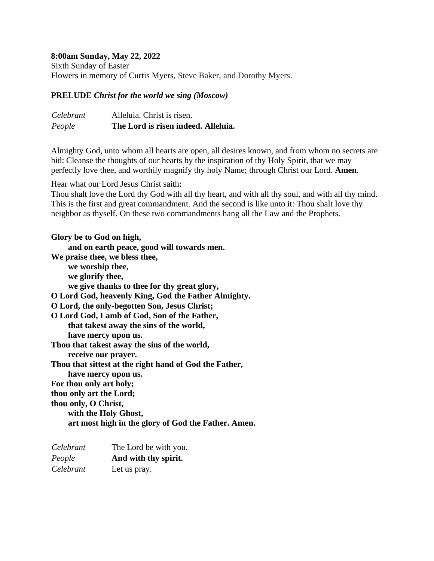#### **8:00am Sunday, May 22, 2022**

Sixth Sunday of Easter Flowers in memory of Curtis Myers, Steve Baker, and Dorothy Myers.

#### **PRELUDE** *Christ for the world we sing (Moscow)*

| People    | The Lord is risen indeed. Alleluia. |
|-----------|-------------------------------------|
| Celebrant | Alleluia. Christ is risen.          |

Almighty God, unto whom all hearts are open, all desires known, and from whom no secrets are hid: Cleanse the thoughts of our hearts by the inspiration of thy Holy Spirit, that we may perfectly love thee, and worthily magnify thy holy Name; through Christ our Lord. **Amen***.*

Hear what our Lord Jesus Christ saith:

Thou shalt love the Lord thy God with all thy heart, and with all thy soul, and with all thy mind. This is the first and great commandment. And the second is like unto it: Thou shalt love thy neighbor as thyself. On these two commandments hang all the Law and the Prophets.

**Glory be to God on high, and on earth peace, good will towards men. We praise thee, we bless thee, we worship thee, we glorify thee, we give thanks to thee for thy great glory, O Lord God, heavenly King, God the Father Almighty. O Lord, the only-begotten Son, Jesus Christ; O Lord God, Lamb of God, Son of the Father, that takest away the sins of the world, have mercy upon us. Thou that takest away the sins of the world, receive our prayer. Thou that sittest at the right hand of God the Father, have mercy upon us. For thou only art holy; thou only art the Lord; thou only, O Christ, with the Holy Ghost, art most high in the glory of God the Father. Amen.**

| Celebrant | The Lord be with you. |
|-----------|-----------------------|
| People    | And with thy spirit.  |
| Celebrant | Let us pray.          |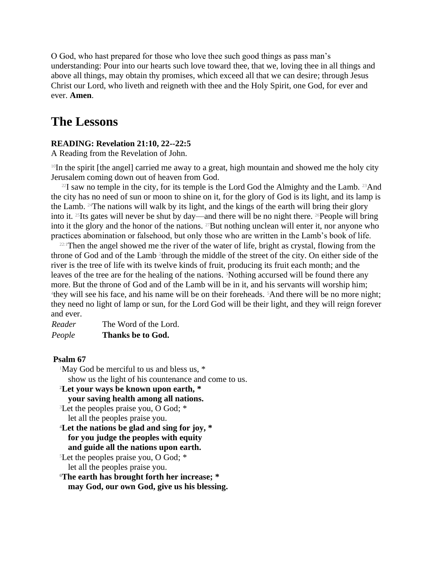O God, who hast prepared for those who love thee such good things as pass man's understanding: Pour into our hearts such love toward thee, that we, loving thee in all things and above all things, may obtain thy promises, which exceed all that we can desire; through Jesus Christ our Lord, who liveth and reigneth with thee and the Holy Spirit, one God, for ever and ever. **Amen**.

# **The Lessons**

# **READING: Revelation 21:10, 22--22:5**

A Reading from the Revelation of John.

<sup>10</sup>In the spirit [the angel] carried me away to a great, high mountain and showed me the holy city Jerusalem coming down out of heaven from God.

 $^{22}I$  saw no temple in the city, for its temple is the Lord God the Almighty and the Lamb.  $^{23}$ And the city has no need of sun or moon to shine on it, for the glory of God is its light, and its lamp is the Lamb. 24The nations will walk by its light, and the kings of the earth will bring their glory into it. 25Its gates will never be shut by day—and there will be no night there. 26People will bring into it the glory and the honor of the nations. <sup>27</sup>But nothing unclean will enter it, nor anyone who practices abomination or falsehood, but only those who are written in the Lamb's book of life.

<sup>22:1</sup>Then the angel showed me the river of the water of life, bright as crystal, flowing from the throne of God and of the Lamb<sup>2</sup> through the middle of the street of the city. On either side of the river is the tree of life with its twelve kinds of fruit, producing its fruit each month; and the leaves of the tree are for the healing of the nations. 3Nothing accursed will be found there any more. But the throne of God and of the Lamb will be in it, and his servants will worship him; <sup>4</sup>they will see his face, and his name will be on their foreheads. <sup>5</sup>And there will be no more night; they need no light of lamp or sun, for the Lord God will be their light, and they will reign forever and ever.

*Reader* The Word of the Lord. *People* **Thanks be to God.**

# **Psalm 67**

<sup>1</sup>May God be merciful to us and bless us, \* show us the light of his countenance and come to us.

# **<sup>2</sup>Let your ways be known upon earth, \***

### **your saving health among all nations.**

<sup>3</sup>Let the peoples praise you, O God; \* let all the peoples praise you.

**<sup>4</sup>Let the nations be glad and sing for joy, \* for you judge the peoples with equity and guide all the nations upon earth.**

- <sup>5</sup>Let the peoples praise you, O God; \* let all the peoples praise you.
- **<sup>6</sup>The earth has brought forth her increase; \* may God, our own God, give us his blessing.**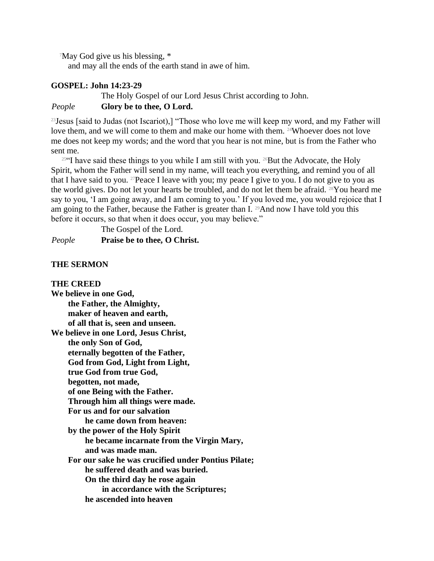<sup>7</sup>May God give us his blessing, \*

and may all the ends of the earth stand in awe of him.

#### **GOSPEL: John 14:23-29**

The Holy Gospel of our Lord Jesus Christ according to John.

#### *People* **Glory be to thee, O Lord.**

<sup>23</sup> Jesus [said to Judas (not Iscariot),] "Those who love me will keep my word, and my Father will love them, and we will come to them and make our home with them. <sup>24</sup>Whoever does not love me does not keep my words; and the word that you hear is not mine, but is from the Father who sent me.

 $25$ <sup>4</sup>I have said these things to you while I am still with you. <sup>26</sup>But the Advocate, the Holy Spirit, whom the Father will send in my name, will teach you everything, and remind you of all that I have said to you. <sup>27</sup>Peace I leave with you; my peace I give to you. I do not give to you as the world gives. Do not let your hearts be troubled, and do not let them be afraid. 28You heard me say to you, 'I am going away, and I am coming to you.' If you loved me, you would rejoice that I am going to the Father, because the Father is greater than I. <sup>29</sup>And now I have told you this before it occurs, so that when it does occur, you may believe."

The Gospel of the Lord. *People* **Praise be to thee, O Christ.**

#### **THE SERMON**

**THE CREED We believe in one God, the Father, the Almighty, maker of heaven and earth, of all that is, seen and unseen. We believe in one Lord, Jesus Christ, the only Son of God, eternally begotten of the Father, God from God, Light from Light, true God from true God, begotten, not made, of one Being with the Father. Through him all things were made. For us and for our salvation he came down from heaven: by the power of the Holy Spirit he became incarnate from the Virgin Mary, and was made man. For our sake he was crucified under Pontius Pilate; he suffered death and was buried. On the third day he rose again in accordance with the Scriptures; he ascended into heaven**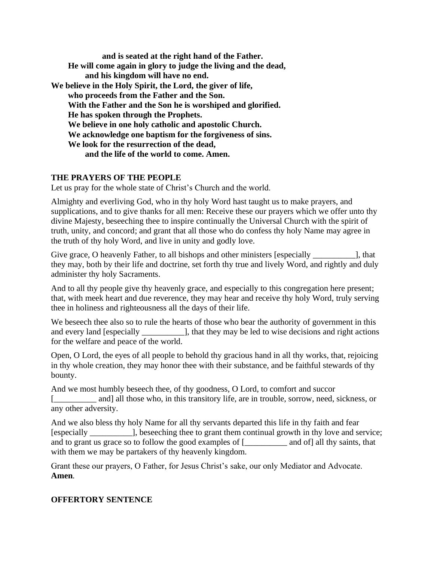**and is seated at the right hand of the Father. He will come again in glory to judge the living and the dead, and his kingdom will have no end. We believe in the Holy Spirit, the Lord, the giver of life, who proceeds from the Father and the Son. With the Father and the Son he is worshiped and glorified. He has spoken through the Prophets. We believe in one holy catholic and apostolic Church. We acknowledge one baptism for the forgiveness of sins. We look for the resurrection of the dead, and the life of the world to come. Amen.**

#### **THE PRAYERS OF THE PEOPLE**

Let us pray for the whole state of Christ's Church and the world.

Almighty and everliving God, who in thy holy Word hast taught us to make prayers, and supplications, and to give thanks for all men: Receive these our prayers which we offer unto thy divine Majesty, beseeching thee to inspire continually the Universal Church with the spirit of truth, unity, and concord; and grant that all those who do confess thy holy Name may agree in the truth of thy holy Word, and live in unity and godly love.

Give grace, O heavenly Father, to all bishops and other ministers [especially [1, that they may, both by their life and doctrine, set forth thy true and lively Word, and rightly and duly administer thy holy Sacraments.

And to all thy people give thy heavenly grace, and especially to this congregation here present; that, with meek heart and due reverence, they may hear and receive thy holy Word, truly serving thee in holiness and righteousness all the days of their life.

We beseech thee also so to rule the hearts of those who bear the authority of government in this and every land [especially \_\_\_\_\_\_\_\_\_\_], that they may be led to wise decisions and right actions for the welfare and peace of the world.

Open, O Lord, the eyes of all people to behold thy gracious hand in all thy works, that, rejoicing in thy whole creation, they may honor thee with their substance, and be faithful stewards of thy bounty.

And we most humbly beseech thee, of thy goodness, O Lord, to comfort and succor [\_\_\_\_\_\_\_\_ and] all those who, in this transitory life, are in trouble, sorrow, need, sickness, or any other adversity.

And we also bless thy holy Name for all thy servants departed this life in thy faith and fear [especially \_\_\_\_\_\_\_\_\_\_], beseeching thee to grant them continual growth in thy love and service; and to grant us grace so to follow the good examples of [\_\_\_\_\_\_\_\_\_\_ and of] all thy saints, that with them we may be partakers of thy heavenly kingdom.

Grant these our prayers, O Father, for Jesus Christ's sake, our only Mediator and Advocate. **Amen***.*

#### **OFFERTORY SENTENCE**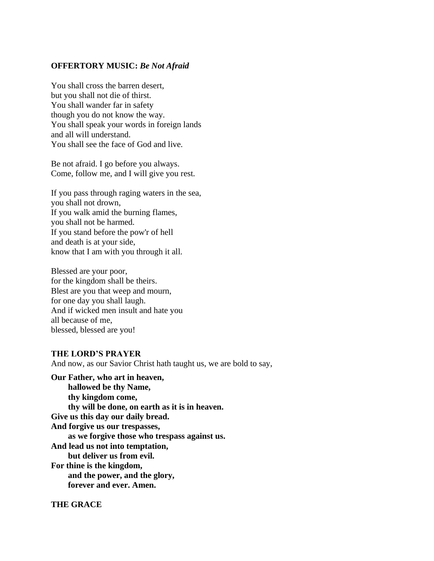#### **OFFERTORY MUSIC:** *Be Not Afraid*

You shall cross the barren desert, but you shall not die of thirst. You shall wander far in safety though you do not know the way. You shall speak your words in foreign lands and all will understand. You shall see the face of God and live.

Be not afraid. I go before you always. Come, follow me, and I will give you rest.

If you pass through raging waters in the sea, you shall not drown, If you walk amid the burning flames, you shall not be harmed. If you stand before the pow'r of hell and death is at your side, know that I am with you through it all.

Blessed are your poor, for the kingdom shall be theirs. Blest are you that weep and mourn, for one day you shall laugh. And if wicked men insult and hate you all because of me, blessed, blessed are you!

#### **THE LORD'S PRAYER**

And now, as our Savior Christ hath taught us, we are bold to say,

**Our Father, who art in heaven, hallowed be thy Name, thy kingdom come, thy will be done, on earth as it is in heaven. Give us this day our daily bread. And forgive us our trespasses, as we forgive those who trespass against us. And lead us not into temptation, but deliver us from evil. For thine is the kingdom, and the power, and the glory, forever and ever. Amen.**

**THE GRACE**